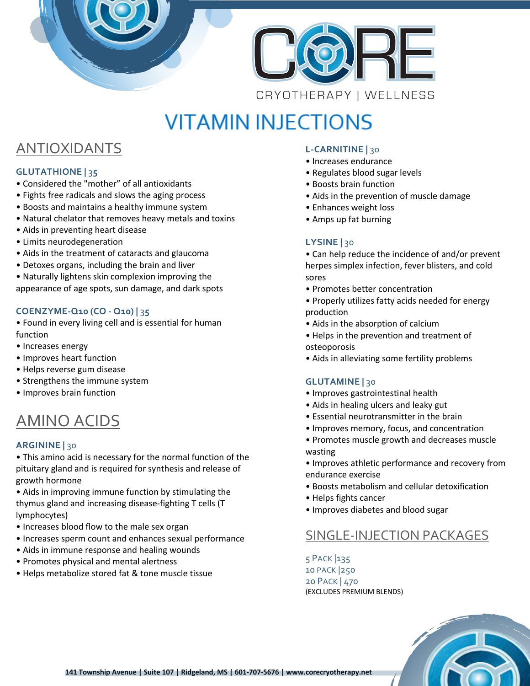



# **VITAMIN INJECTIONS**

## ANTIOXIDANTS

#### **GLUTATHIONE |** 3**5**

- Considered the "mother" of all antioxidants
- Fights free radicals and slows the aging process
- Boosts and maintains a healthy immune system
- Natural chelator that removes heavy metals and toxins
- Aids in preventing heart disease
- Limits neurodegeneration
- Aids in the treatment of cataracts and glaucoma
- Detoxes organs, including the brain and liver
- Naturally lightens skin complexion improving the appearance of age spots, sun damage, and dark spots

#### **COENZYME-Q10 (CO - Q10) |** 3**5**

- Found in every living cell and is essential for human function
- Increases energy
- Improves heart function
- Helps reverse gum disease
- Strengthens the immune system
- Improves brain function

## AMINO ACIDS

#### **ARGININE |** 30

• This amino acid is necessary for the normal function of the pituitary gland and is required for synthesis and release of growth hormone

• Aids in improving immune function by stimulating the thymus gland and increasing disease-fighting T cells (T lymphocytes)

- Increases blood flow to the male sex organ
- Increases sperm count and enhances sexual performance
- Aids in immune response and healing wounds
- Promotes physical and mental alertness
- Helps metabolize stored fat & tone muscle tissue

#### **L-CARNITINE |** 30

- Increases endurance
- Regulates blood sugar levels
- Boosts brain function
- Aids in the prevention of muscle damage
- Enhances weight loss
- Amps up fat burning

#### **LYSINE |** 30

• Can help reduce the incidence of and/or prevent herpes simplex infection, fever blisters, and cold sores

- Promotes better concentration
- Properly utilizes fatty acids needed for energy production
- Aids in the absorption of calcium
- Helps in the prevention and treatment of osteoporosis
- Aids in alleviating some fertility problems

#### **GLUTAMINE |** 30

- Improves gastrointestinal health
- Aids in healing ulcers and leaky gut
- Essential neurotransmitter in the brain
- Improves memory, focus, and concentration
- Promotes muscle growth and decreases muscle wasting
- Improves athletic performance and recovery from endurance exercise
- Boosts metabolism and cellular detoxification
- Helps fights cancer
- Improves diabetes and blood sugar

### SINGLE-INJECTION PACKAGES

 PACK |135 PACK |250 PACK | 470 (EXCLUDES PREMIUM BLENDS)